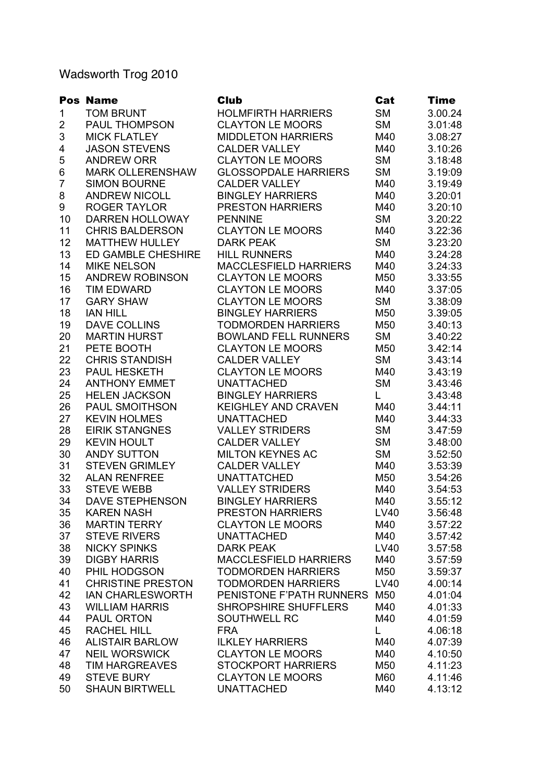## Wadsworth Trog 2010

|                           | <b>Pos Name</b>                            | <b>Club</b>                  | Cat         | <b>Time</b> |
|---------------------------|--------------------------------------------|------------------------------|-------------|-------------|
| 1                         | <b>TOM BRUNT</b>                           | <b>HOLMFIRTH HARRIERS</b>    | <b>SM</b>   | 3.00.24     |
| $\overline{\mathbf{c}}$   | <b>PAUL THOMPSON</b>                       | <b>CLAYTON LE MOORS</b>      | <b>SM</b>   | 3.01:48     |
| $\ensuremath{\mathsf{3}}$ | <b>MICK FLATLEY</b>                        | <b>MIDDLETON HARRIERS</b>    | M40         | 3.08:27     |
| 4                         | <b>JASON STEVENS</b>                       | <b>CALDER VALLEY</b>         | M40         | 3.10:26     |
| 5                         | <b>ANDREW ORR</b>                          | <b>CLAYTON LE MOORS</b>      | <b>SM</b>   | 3.18:48     |
| $\,6$                     | <b>MARK OLLERENSHAW</b>                    | <b>GLOSSOPDALE HARRIERS</b>  | <b>SM</b>   | 3.19:09     |
| $\overline{7}$            | <b>SIMON BOURNE</b>                        | <b>CALDER VALLEY</b>         | M40         | 3.19:49     |
| 8                         | <b>ANDREW NICOLL</b>                       | <b>BINGLEY HARRIERS</b>      | M40         | 3.20:01     |
| 9                         | <b>ROGER TAYLOR</b>                        | <b>PRESTON HARRIERS</b>      | M40         | 3.20:10     |
| 10                        | <b>DARREN HOLLOWAY</b>                     | <b>PENNINE</b>               | <b>SM</b>   | 3.20:22     |
| 11                        | <b>CHRIS BALDERSON</b>                     | <b>CLAYTON LE MOORS</b>      | M40         | 3.22:36     |
| 12                        | <b>MATTHEW HULLEY</b>                      | <b>DARK PEAK</b>             | <b>SM</b>   | 3.23:20     |
| 13                        | <b>ED GAMBLE CHESHIRE</b>                  | <b>HILL RUNNERS</b>          | M40         | 3.24:28     |
| 14                        | <b>MIKE NELSON</b>                         | <b>MACCLESFIELD HARRIERS</b> | M40         | 3.24:33     |
| 15                        | <b>ANDREW ROBINSON</b>                     | <b>CLAYTON LE MOORS</b>      | M50         | 3.33:55     |
| 16                        | <b>TIM EDWARD</b>                          | <b>CLAYTON LE MOORS</b>      | M40         | 3.37:05     |
| 17                        | <b>GARY SHAW</b>                           | <b>CLAYTON LE MOORS</b>      | <b>SM</b>   | 3.38:09     |
| 18                        | <b>IAN HILL</b>                            | <b>BINGLEY HARRIERS</b>      | M50         | 3.39:05     |
| 19                        | <b>DAVE COLLINS</b>                        | <b>TODMORDEN HARRIERS</b>    | M50         | 3.40:13     |
| 20                        | <b>MARTIN HURST</b>                        | <b>BOWLAND FELL RUNNERS</b>  | <b>SM</b>   | 3.40:22     |
| 21                        | PETE BOOTH                                 | <b>CLAYTON LE MOORS</b>      | M50         | 3.42:14     |
| 22                        | <b>CHRIS STANDISH</b>                      | <b>CALDER VALLEY</b>         | <b>SM</b>   | 3.43:14     |
| 23                        | PAUL HESKETH                               | <b>CLAYTON LE MOORS</b>      | M40         | 3.43:19     |
| 24                        | <b>ANTHONY EMMET</b>                       | <b>UNATTACHED</b>            | <b>SM</b>   | 3.43:46     |
| 25                        | <b>HELEN JACKSON</b>                       | <b>BINGLEY HARRIERS</b>      | L.          | 3.43:48     |
| 26                        | PAUL SMOITHSON                             | <b>KEIGHLEY AND CRAVEN</b>   | M40         | 3.44:11     |
| 27                        | <b>KEVIN HOLMES</b>                        | <b>UNATTACHED</b>            | M40         | 3.44:33     |
| 28                        | <b>EIRIK STANGNES</b>                      | <b>VALLEY STRIDERS</b>       | <b>SM</b>   | 3.47:59     |
| 29                        | <b>KEVIN HOULT</b>                         | <b>CALDER VALLEY</b>         | <b>SM</b>   | 3.48:00     |
| 30                        | <b>ANDY SUTTON</b>                         | <b>MILTON KEYNES AC</b>      | <b>SM</b>   | 3.52:50     |
| 31                        | <b>STEVEN GRIMLEY</b>                      | <b>CALDER VALLEY</b>         | M40         | 3.53:39     |
| 32                        | <b>ALAN RENFREE</b>                        | <b>UNATTATCHED</b>           | M50         | 3.54:26     |
| 33                        | <b>STEVE WEBB</b>                          | <b>VALLEY STRIDERS</b>       | M40         | 3.54:53     |
| 34                        | <b>DAVE STEPHENSON</b>                     | <b>BINGLEY HARRIERS</b>      | M40         | 3.55:12     |
| 35                        | <b>KAREN NASH</b>                          | PRESTON HARRIERS             | <b>LV40</b> | 3.56:48     |
| 36                        | <b>MARTIN TERRY</b>                        | <b>CLAYTON LE MOORS</b>      | M40         | 3.57:22     |
| 37                        | <b>STEVE RIVERS</b>                        | <b>UNATTACHED</b>            | M40         | 3.57:42     |
| 38                        | <b>NICKY SPINKS</b>                        | <b>DARK PEAK</b>             | LV40        | 3.57:58     |
| 39                        | <b>DIGBY HARRIS</b>                        | <b>MACCLESFIELD HARRIERS</b> | M40         | 3.57:59     |
| 40                        | PHIL HODGSON                               | <b>TODMORDEN HARRIERS</b>    | M50         | 3.59:37     |
| 41                        | <b>CHRISTINE PRESTON</b>                   | <b>TODMORDEN HARRIERS</b>    | LV40        | 4.00:14     |
| 42                        | <b>IAN CHARLESWORTH</b>                    | PENISTONE F'PATH RUNNERS     | M50         | 4.01:04     |
|                           |                                            |                              |             |             |
| 43                        | <b>WILLIAM HARRIS</b><br><b>PAUL ORTON</b> | <b>SHROPSHIRE SHUFFLERS</b>  | M40         | 4.01:33     |
| 44                        | <b>RACHEL HILL</b>                         | <b>SOUTHWELL RC</b>          | M40<br>L    | 4.01:59     |
| 45                        |                                            | <b>FRA</b>                   |             | 4.06:18     |
| 46                        | <b>ALISTAIR BARLOW</b>                     | <b>ILKLEY HARRIERS</b>       | M40         | 4.07:39     |
| 47                        | <b>NEIL WORSWICK</b>                       | <b>CLAYTON LE MOORS</b>      | M40         | 4.10:50     |
| 48                        | <b>TIM HARGREAVES</b>                      | <b>STOCKPORT HARRIERS</b>    | M50         | 4.11:23     |
| 49                        | <b>STEVE BURY</b>                          | <b>CLAYTON LE MOORS</b>      | M60         | 4.11:46     |
| 50                        | <b>SHAUN BIRTWELL</b>                      | <b>UNATTACHED</b>            | M40         | 4.13:12     |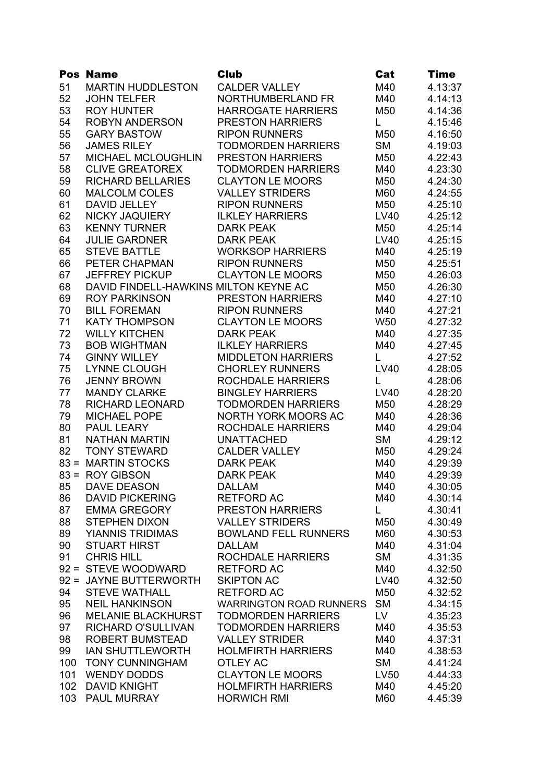|     | <b>Pos Name</b>                       | <b>Club</b>                    | Cat         | <b>Time</b> |
|-----|---------------------------------------|--------------------------------|-------------|-------------|
| 51  | <b>MARTIN HUDDLESTON</b>              | <b>CALDER VALLEY</b>           | M40         | 4.13:37     |
| 52  | <b>JOHN TELFER</b>                    | NORTHUMBERLAND FR              | M40         | 4.14:13     |
| 53  | <b>ROY HUNTER</b>                     | <b>HARROGATE HARRIERS</b>      | M50         | 4.14:36     |
| 54  | <b>ROBYN ANDERSON</b>                 | <b>PRESTON HARRIERS</b>        | L.          | 4.15:46     |
| 55  | <b>GARY BASTOW</b>                    | <b>RIPON RUNNERS</b>           | M50         | 4.16:50     |
| 56  | <b>JAMES RILEY</b>                    | <b>TODMORDEN HARRIERS</b>      | <b>SM</b>   | 4.19:03     |
| 57  | MICHAEL MCLOUGHLIN                    | <b>PRESTON HARRIERS</b>        | M50         | 4.22:43     |
| 58  | <b>CLIVE GREATOREX</b>                | <b>TODMORDEN HARRIERS</b>      | M40         | 4.23:30     |
| 59  | <b>RICHARD BELLARIES</b>              | <b>CLAYTON LE MOORS</b>        | M50         | 4.24:30     |
| 60  | <b>MALCOLM COLES</b>                  | <b>VALLEY STRIDERS</b>         | M60         | 4.24:55     |
| 61  | DAVID JELLEY                          | <b>RIPON RUNNERS</b>           | M50         | 4.25:10     |
| 62  | NICKY JAQUIERY                        | <b>ILKLEY HARRIERS</b>         | LV40        | 4.25:12     |
| 63  | <b>KENNY TURNER</b>                   | <b>DARK PEAK</b>               | M50         | 4.25:14     |
| 64  | <b>JULIE GARDNER</b>                  | <b>DARK PEAK</b>               | LV40        | 4.25:15     |
| 65  | <b>STEVE BATTLE</b>                   | <b>WORKSOP HARRIERS</b>        | M40         | 4.25:19     |
| 66  | PETER CHAPMAN                         | <b>RIPON RUNNERS</b>           | M50         | 4.25:51     |
| 67  | <b>JEFFREY PICKUP</b>                 | <b>CLAYTON LE MOORS</b>        | M50         | 4.26:03     |
| 68  | DAVID FINDELL-HAWKINS MILTON KEYNE AC |                                | M50         | 4.26:30     |
| 69  | <b>ROY PARKINSON</b>                  | <b>PRESTON HARRIERS</b>        | M40         | 4.27:10     |
| 70  | <b>BILL FOREMAN</b>                   | <b>RIPON RUNNERS</b>           | M40         | 4.27:21     |
| 71  | <b>KATY THOMPSON</b>                  | <b>CLAYTON LE MOORS</b>        | W50         | 4.27:32     |
| 72  | <b>WILLY KITCHEN</b>                  | <b>DARK PEAK</b>               | M40         | 4.27:35     |
| 73  | <b>BOB WIGHTMAN</b>                   | <b>ILKLEY HARRIERS</b>         | M40         | 4.27:45     |
| 74  | <b>GINNY WILLEY</b>                   | <b>MIDDLETON HARRIERS</b>      | L.          | 4.27:52     |
| 75  | LYNNE CLOUGH                          | <b>CHORLEY RUNNERS</b>         | <b>LV40</b> | 4.28:05     |
| 76  | <b>JENNY BROWN</b>                    | <b>ROCHDALE HARRIERS</b>       | L.          | 4.28:06     |
| 77  | <b>MANDY CLARKE</b>                   | <b>BINGLEY HARRIERS</b>        | <b>LV40</b> | 4.28:20     |
| 78  | <b>RICHARD LEONARD</b>                | <b>TODMORDEN HARRIERS</b>      | M50         | 4.28:29     |
| 79  | <b>MICHAEL POPE</b>                   | NORTH YORK MOORS AC            | M40         | 4.28:36     |
| 80  | PAUL LEARY                            | ROCHDALE HARRIERS              | M40         | 4.29:04     |
| 81  | <b>NATHAN MARTIN</b>                  | <b>UNATTACHED</b>              | <b>SM</b>   | 4.29:12     |
| 82  | <b>TONY STEWARD</b>                   | <b>CALDER VALLEY</b>           | M50         | 4.29:24     |
|     | 83 = MARTIN STOCKS                    | <b>DARK PEAK</b>               | M40         | 4.29:39     |
|     | 83 = ROY GIBSON                       | <b>DARK PEAK</b>               | M40         | 4.29:39     |
| 85  | <b>DAVE DEASON</b>                    | <b>DALLAM</b>                  | M40         | 4.30:05     |
| 86  | <b>DAVID PICKERING</b>                | <b>RETFORD AC</b>              | M40         | 4.30:14     |
| 87  | <b>EMMA GREGORY</b>                   | PRESTON HARRIERS               | L           | 4.30:41     |
| 88  | <b>STEPHEN DIXON</b>                  | <b>VALLEY STRIDERS</b>         | M50         | 4.30:49     |
| 89  | <b>YIANNIS TRIDIMAS</b>               | <b>BOWLAND FELL RUNNERS</b>    | M60         | 4.30:53     |
| 90  | <b>STUART HIRST</b>                   | <b>DALLAM</b>                  | M40         | 4.31:04     |
| 91  | <b>CHRIS HILL</b>                     | <b>ROCHDALE HARRIERS</b>       | <b>SM</b>   | 4.31:35     |
|     | 92 = STEVE WOODWARD                   | <b>RETFORD AC</b>              | M40         | 4.32:50     |
|     | 92 = JAYNE BUTTERWORTH                | <b>SKIPTON AC</b>              | <b>LV40</b> | 4.32:50     |
| 94  | <b>STEVE WATHALL</b>                  | <b>RETFORD AC</b>              | M50         | 4.32:52     |
| 95  | <b>NEIL HANKINSON</b>                 | <b>WARRINGTON ROAD RUNNERS</b> | <b>SM</b>   | 4.34:15     |
| 96  | <b>MELANIE BLACKHURST</b>             | <b>TODMORDEN HARRIERS</b>      | LV          | 4.35:23     |
| 97  | <b>RICHARD O'SULLIVAN</b>             | <b>TODMORDEN HARRIERS</b>      | M40         | 4.35:53     |
| 98  | <b>ROBERT BUMSTEAD</b>                | <b>VALLEY STRIDER</b>          | M40         | 4.37:31     |
| 99  | <b>IAN SHUTTLEWORTH</b>               | <b>HOLMFIRTH HARRIERS</b>      | M40         | 4.38:53     |
| 100 | <b>TONY CUNNINGHAM</b>                | <b>OTLEY AC</b>                | <b>SM</b>   | 4.41:24     |
| 101 | <b>WENDY DODDS</b>                    | <b>CLAYTON LE MOORS</b>        | LV50        | 4.44:33     |
| 102 | <b>DAVID KNIGHT</b>                   | <b>HOLMFIRTH HARRIERS</b>      | M40         | 4.45:20     |
| 103 | <b>PAUL MURRAY</b>                    | <b>HORWICH RMI</b>             | M60         | 4.45:39     |